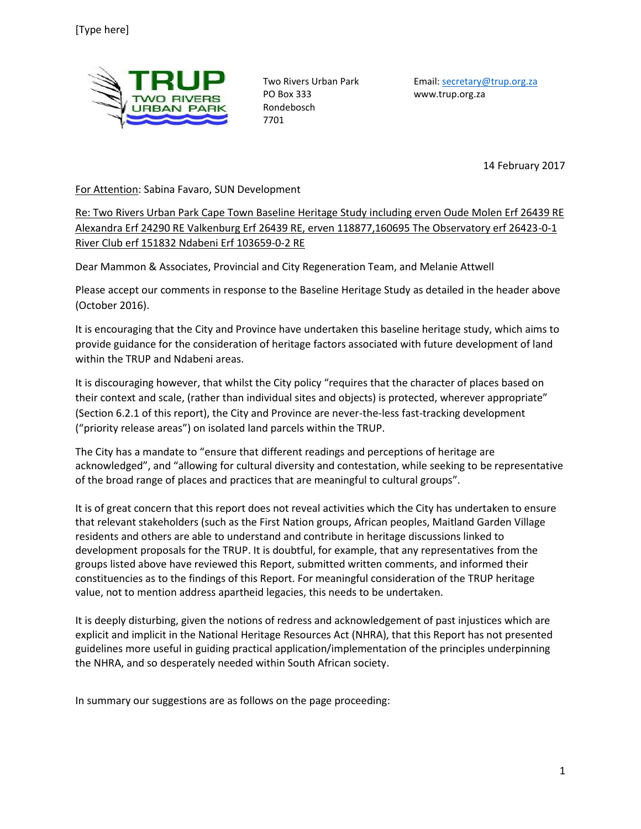

PO Box 333 www.trup.org.za Rondebosch 7701

Two Rivers Urban Park Email[: secretary@trup.org.za](mailto:secretary@trup.org.za)

14 February 2017

For Attention: Sabina Favaro, SUN Development

Re: Two Rivers Urban Park Cape Town Baseline Heritage Study including erven Oude Molen Erf 26439 RE Alexandra Erf 24290 RE Valkenburg Erf 26439 RE, erven 118877,160695 The Observatory erf 26423-0-1 River Club erf 151832 Ndabeni Erf 103659-0-2 RE

Dear Mammon & Associates, Provincial and City Regeneration Team, and Melanie Attwell

Please accept our comments in response to the Baseline Heritage Study as detailed in the header above (October 2016).

It is encouraging that the City and Province have undertaken this baseline heritage study, which aims to provide guidance for the consideration of heritage factors associated with future development of land within the TRUP and Ndabeni areas.

It is discouraging however, that whilst the City policy "requires that the character of places based on their context and scale, (rather than individual sites and objects) is protected, wherever appropriate" (Section 6.2.1 of this report), the City and Province are never-the-less fast-tracking development ("priority release areas") on isolated land parcels within the TRUP.

The City has a mandate to "ensure that different readings and perceptions of heritage are acknowledged", and "allowing for cultural diversity and contestation, while seeking to be representative of the broad range of places and practices that are meaningful to cultural groups".

It is of great concern that this report does not reveal activities which the City has undertaken to ensure that relevant stakeholders (such as the First Nation groups, African peoples, Maitland Garden Village residents and others are able to understand and contribute in heritage discussions linked to development proposals for the TRUP. It is doubtful, for example, that any representatives from the groups listed above have reviewed this Report, submitted written comments, and informed their constituencies as to the findings of this Report. For meaningful consideration of the TRUP heritage value, not to mention address apartheid legacies, this needs to be undertaken.

It is deeply disturbing, given the notions of redress and acknowledgement of past injustices which are explicit and implicit in the National Heritage Resources Act (NHRA), that this Report has not presented guidelines more useful in guiding practical application/implementation of the principles underpinning the NHRA, and so desperately needed within South African society.

In summary our suggestions are as follows on the page proceeding: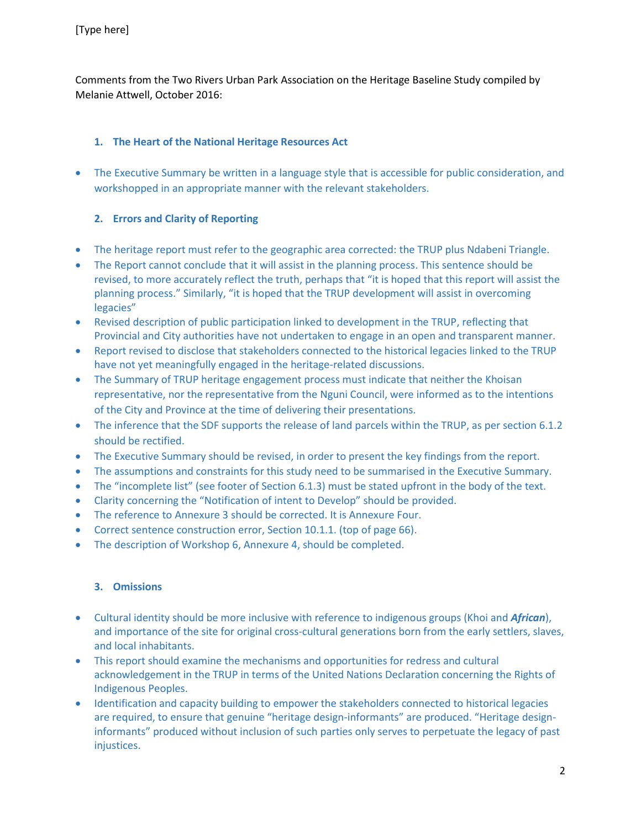Comments from the Two Rivers Urban Park Association on the Heritage Baseline Study compiled by Melanie Attwell, October 2016:

### **1. The Heart of the National Heritage Resources Act**

• The Executive Summary be written in a language style that is accessible for public consideration, and workshopped in an appropriate manner with the relevant stakeholders.

### **2. Errors and Clarity of Reporting**

- The heritage report must refer to the geographic area corrected: the TRUP plus Ndabeni Triangle.
- The Report cannot conclude that it will assist in the planning process. This sentence should be revised, to more accurately reflect the truth, perhaps that "it is hoped that this report will assist the planning process." Similarly, "it is hoped that the TRUP development will assist in overcoming legacies"
- Revised description of public participation linked to development in the TRUP, reflecting that Provincial and City authorities have not undertaken to engage in an open and transparent manner.
- Report revised to disclose that stakeholders connected to the historical legacies linked to the TRUP have not yet meaningfully engaged in the heritage-related discussions.
- The Summary of TRUP heritage engagement process must indicate that neither the Khoisan representative, nor the representative from the Nguni Council, were informed as to the intentions of the City and Province at the time of delivering their presentations.
- The inference that the SDF supports the release of land parcels within the TRUP, as per section 6.1.2 should be rectified.
- The Executive Summary should be revised, in order to present the key findings from the report.
- The assumptions and constraints for this study need to be summarised in the Executive Summary.
- The "incomplete list" (see footer of Section 6.1.3) must be stated upfront in the body of the text.
- Clarity concerning the "Notification of intent to Develop" should be provided.
- The reference to Annexure 3 should be corrected. It is Annexure Four.
- Correct sentence construction error, Section 10.1.1. (top of page 66).
- The description of Workshop 6, Annexure 4, should be completed.

# **3. Omissions**

- Cultural identity should be more inclusive with reference to indigenous groups (Khoi and *African*), and importance of the site for original cross-cultural generations born from the early settlers, slaves, and local inhabitants.
- This report should examine the mechanisms and opportunities for redress and cultural acknowledgement in the TRUP in terms of the United Nations Declaration concerning the Rights of Indigenous Peoples.
- Identification and capacity building to empower the stakeholders connected to historical legacies are required, to ensure that genuine "heritage design-informants" are produced. "Heritage designinformants" produced without inclusion of such parties only serves to perpetuate the legacy of past injustices.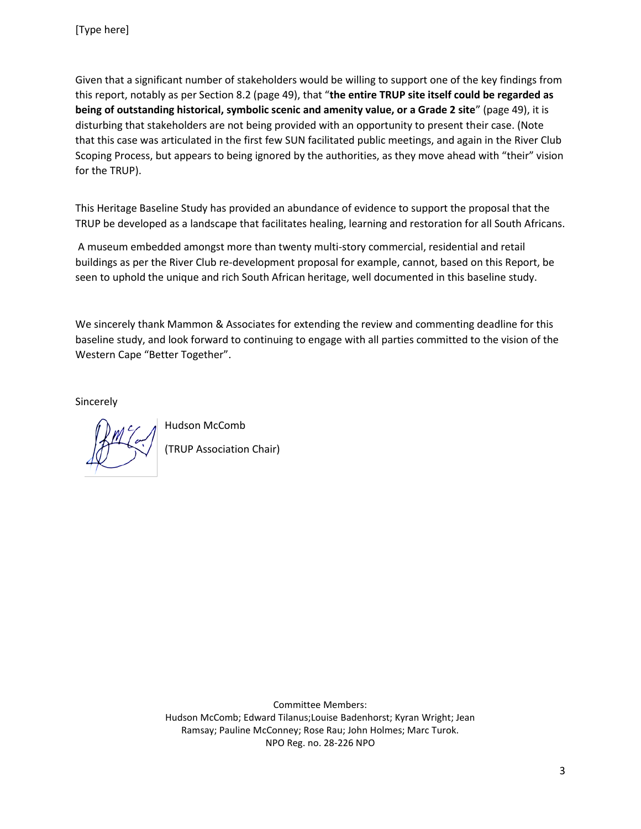Given that a significant number of stakeholders would be willing to support one of the key findings from this report, notably as per Section 8.2 (page 49), that "**the entire TRUP site itself could be regarded as being of outstanding historical, symbolic scenic and amenity value, or a Grade 2 site**" (page 49), it is disturbing that stakeholders are not being provided with an opportunity to present their case. (Note that this case was articulated in the first few SUN facilitated public meetings, and again in the River Club Scoping Process, but appears to being ignored by the authorities, as they move ahead with "their" vision for the TRUP).

This Heritage Baseline Study has provided an abundance of evidence to support the proposal that the TRUP be developed as a landscape that facilitates healing, learning and restoration for all South Africans.

A museum embedded amongst more than twenty multi-story commercial, residential and retail buildings as per the River Club re-development proposal for example, cannot, based on this Report, be seen to uphold the unique and rich South African heritage, well documented in this baseline study.

We sincerely thank Mammon & Associates for extending the review and commenting deadline for this baseline study, and look forward to continuing to engage with all parties committed to the vision of the Western Cape "Better Together".

Sincerely

Hudson McComb (TRUP Association Chair)

Committee Members: Hudson McComb; Edward Tilanus;Louise Badenhorst; Kyran Wright; Jean Ramsay; Pauline McConney; Rose Rau; John Holmes; Marc Turok. NPO Reg. no. 28-226 NPO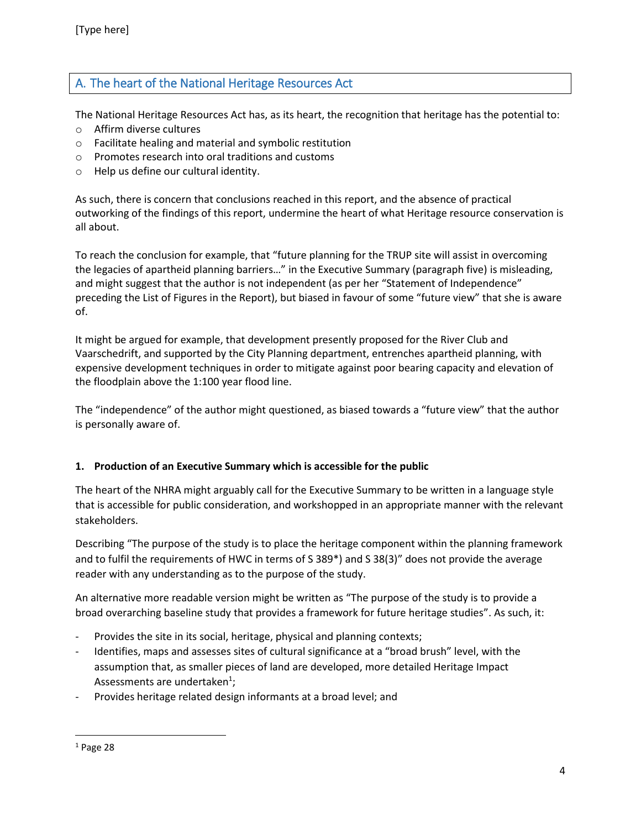# A. The heart of the National Heritage Resources Act

The National Heritage Resources Act has, as its heart, the recognition that heritage has the potential to:

- o Affirm diverse cultures
- o Facilitate healing and material and symbolic restitution
- o Promotes research into oral traditions and customs
- o Help us define our cultural identity.

As such, there is concern that conclusions reached in this report, and the absence of practical outworking of the findings of this report, undermine the heart of what Heritage resource conservation is all about.

To reach the conclusion for example, that "future planning for the TRUP site will assist in overcoming the legacies of apartheid planning barriers…" in the Executive Summary (paragraph five) is misleading, and might suggest that the author is not independent (as per her "Statement of Independence" preceding the List of Figures in the Report), but biased in favour of some "future view" that she is aware of.

It might be argued for example, that development presently proposed for the River Club and Vaarschedrift, and supported by the City Planning department, entrenches apartheid planning, with expensive development techniques in order to mitigate against poor bearing capacity and elevation of the floodplain above the 1:100 year flood line.

The "independence" of the author might questioned, as biased towards a "future view" that the author is personally aware of.

### **1. Production of an Executive Summary which is accessible for the public**

The heart of the NHRA might arguably call for the Executive Summary to be written in a language style that is accessible for public consideration, and workshopped in an appropriate manner with the relevant stakeholders.

Describing "The purpose of the study is to place the heritage component within the planning framework and to fulfil the requirements of HWC in terms of S 389\*) and S 38(3)" does not provide the average reader with any understanding as to the purpose of the study.

An alternative more readable version might be written as "The purpose of the study is to provide a broad overarching baseline study that provides a framework for future heritage studies". As such, it:

- Provides the site in its social, heritage, physical and planning contexts;
- Identifies, maps and assesses sites of cultural significance at a "broad brush" level, with the assumption that, as smaller pieces of land are developed, more detailed Heritage Impact Assessments are undertaken<sup>1</sup>;
- Provides heritage related design informants at a broad level; and

 $\overline{\phantom{a}}$ 

 $1$  Page 28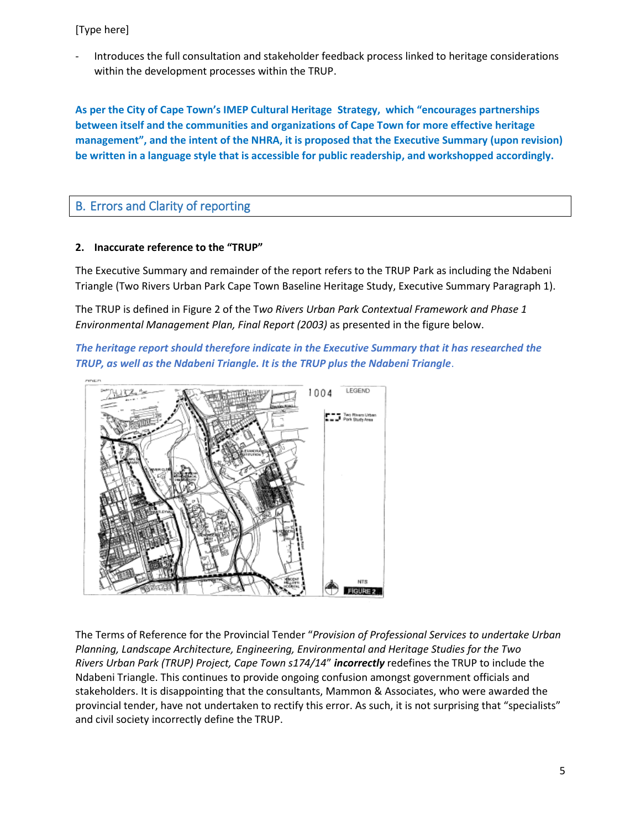### [Type here]

- Introduces the full consultation and stakeholder feedback process linked to heritage considerations within the development processes within the TRUP.

**As per the City of Cape Town's IMEP Cultural Heritage Strategy, which "encourages partnerships between itself and the communities and organizations of Cape Town for more effective heritage management", and the intent of the NHRA, it is proposed that the Executive Summary (upon revision) be written in a language style that is accessible for public readership, and workshopped accordingly.**

# B. Errors and Clarity of reporting

#### **2. Inaccurate reference to the "TRUP"**

The Executive Summary and remainder of the report refers to the TRUP Park as including the Ndabeni Triangle (Two Rivers Urban Park Cape Town Baseline Heritage Study, Executive Summary Paragraph 1).

The TRUP is defined in Figure 2 of the T*wo Rivers Urban Park Contextual Framework and Phase 1 Environmental Management Plan, Final Report (2003)* as presented in the figure below.

*The heritage report should therefore indicate in the Executive Summary that it has researched the TRUP, as well as the Ndabeni Triangle. It is the TRUP plus the Ndabeni Triangle*.



The Terms of Reference for the Provincial Tender "*Provision of Professional Services to undertake Urban Planning, Landscape Architecture, Engineering, Environmental and Heritage Studies for the Two Rivers Urban Park (TRUP) Project, Cape Town s174/14*" *incorrectly* redefines the TRUP to include the Ndabeni Triangle. This continues to provide ongoing confusion amongst government officials and stakeholders. It is disappointing that the consultants, Mammon & Associates, who were awarded the provincial tender, have not undertaken to rectify this error. As such, it is not surprising that "specialists" and civil society incorrectly define the TRUP.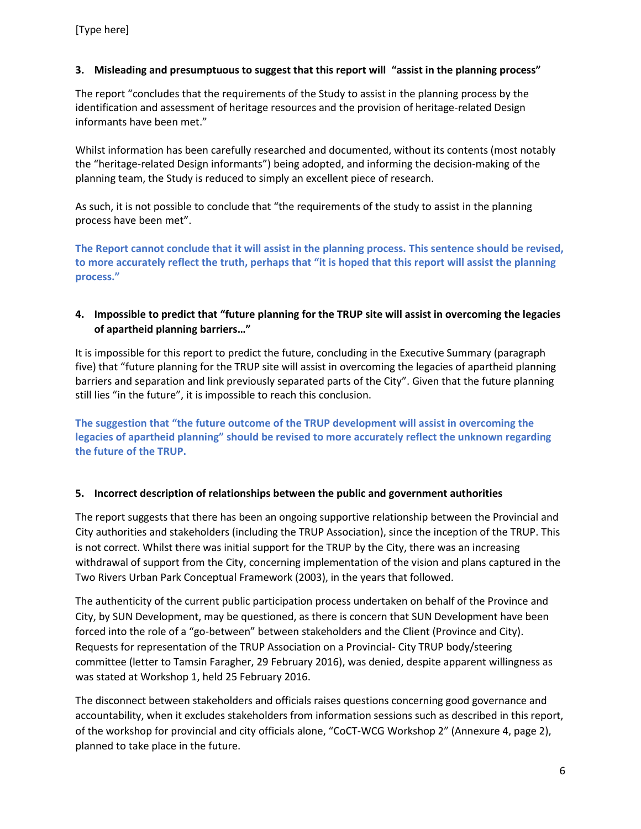# **3. Misleading and presumptuous to suggest that this report will "assist in the planning process"**

The report "concludes that the requirements of the Study to assist in the planning process by the identification and assessment of heritage resources and the provision of heritage-related Design informants have been met."

Whilst information has been carefully researched and documented, without its contents (most notably the "heritage-related Design informants") being adopted, and informing the decision-making of the planning team, the Study is reduced to simply an excellent piece of research.

As such, it is not possible to conclude that "the requirements of the study to assist in the planning process have been met".

**The Report cannot conclude that it will assist in the planning process. This sentence should be revised, to more accurately reflect the truth, perhaps that "it is hoped that this report will assist the planning process."**

# **4. Impossible to predict that "future planning for the TRUP site will assist in overcoming the legacies of apartheid planning barriers…"**

It is impossible for this report to predict the future, concluding in the Executive Summary (paragraph five) that "future planning for the TRUP site will assist in overcoming the legacies of apartheid planning barriers and separation and link previously separated parts of the City". Given that the future planning still lies "in the future", it is impossible to reach this conclusion.

**The suggestion that "the future outcome of the TRUP development will assist in overcoming the legacies of apartheid planning" should be revised to more accurately reflect the unknown regarding the future of the TRUP.** 

### **5. Incorrect description of relationships between the public and government authorities**

The report suggests that there has been an ongoing supportive relationship between the Provincial and City authorities and stakeholders (including the TRUP Association), since the inception of the TRUP. This is not correct. Whilst there was initial support for the TRUP by the City, there was an increasing withdrawal of support from the City, concerning implementation of the vision and plans captured in the Two Rivers Urban Park Conceptual Framework (2003), in the years that followed.

The authenticity of the current public participation process undertaken on behalf of the Province and City, by SUN Development, may be questioned, as there is concern that SUN Development have been forced into the role of a "go-between" between stakeholders and the Client (Province and City). Requests for representation of the TRUP Association on a Provincial- City TRUP body/steering committee (letter to Tamsin Faragher, 29 February 2016), was denied, despite apparent willingness as was stated at Workshop 1, held 25 February 2016.

The disconnect between stakeholders and officials raises questions concerning good governance and accountability, when it excludes stakeholders from information sessions such as described in this report, of the workshop for provincial and city officials alone, "CoCT-WCG Workshop 2" (Annexure 4, page 2), planned to take place in the future.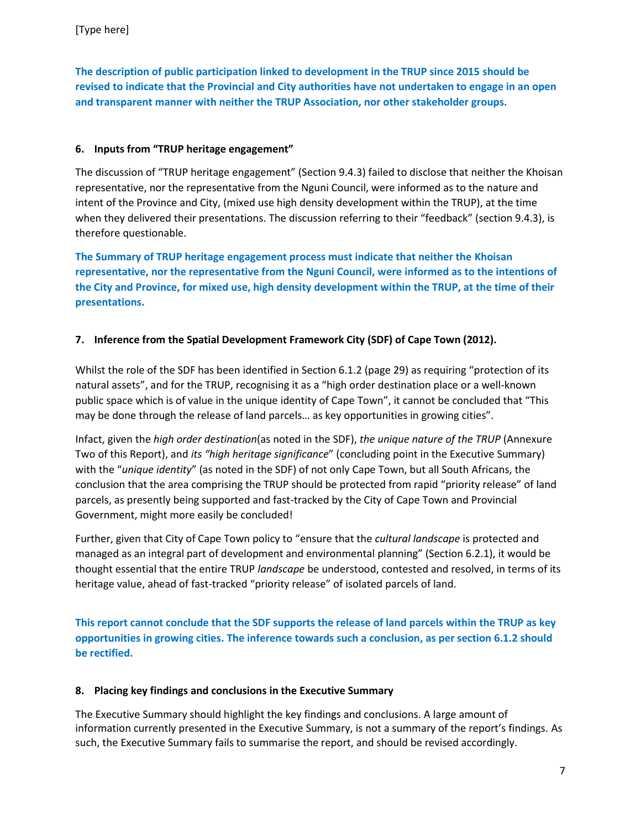**The description of public participation linked to development in the TRUP since 2015 should be revised to indicate that the Provincial and City authorities have not undertaken to engage in an open and transparent manner with neither the TRUP Association, nor other stakeholder groups.**

# **6. Inputs from "TRUP heritage engagement"**

The discussion of "TRUP heritage engagement" (Section 9.4.3) failed to disclose that neither the Khoisan representative, nor the representative from the Nguni Council, were informed as to the nature and intent of the Province and City, (mixed use high density development within the TRUP), at the time when they delivered their presentations. The discussion referring to their "feedback" (section 9.4.3), is therefore questionable.

**The Summary of TRUP heritage engagement process must indicate that neither the Khoisan representative, nor the representative from the Nguni Council, were informed as to the intentions of the City and Province, for mixed use, high density development within the TRUP, at the time of their presentations.** 

# **7. Inference from the Spatial Development Framework City (SDF) of Cape Town (2012).**

Whilst the role of the SDF has been identified in Section 6.1.2 (page 29) as requiring "protection of its natural assets", and for the TRUP, recognising it as a "high order destination place or a well-known public space which is of value in the unique identity of Cape Town", it cannot be concluded that "This may be done through the release of land parcels… as key opportunities in growing cities".

Infact, given the *high order destination*(as noted in the SDF), *the unique nature of the TRUP* (Annexure Two of this Report), and *its "high heritage significance*" (concluding point in the Executive Summary) with the "*unique identity*" (as noted in the SDF) of not only Cape Town, but all South Africans, the conclusion that the area comprising the TRUP should be protected from rapid "priority release" of land parcels, as presently being supported and fast-tracked by the City of Cape Town and Provincial Government, might more easily be concluded!

Further, given that City of Cape Town policy to "ensure that the *cultural landscape* is protected and managed as an integral part of development and environmental planning" (Section 6.2.1), it would be thought essential that the entire TRUP *landscape* be understood, contested and resolved, in terms of its heritage value, ahead of fast-tracked "priority release" of isolated parcels of land.

**This report cannot conclude that the SDF supports the release of land parcels within the TRUP as key opportunities in growing cities. The inference towards such a conclusion, as per section 6.1.2 should be rectified.** 

### **8. Placing key findings and conclusions in the Executive Summary**

The Executive Summary should highlight the key findings and conclusions. A large amount of information currently presented in the Executive Summary, is not a summary of the report's findings. As such, the Executive Summary fails to summarise the report, and should be revised accordingly.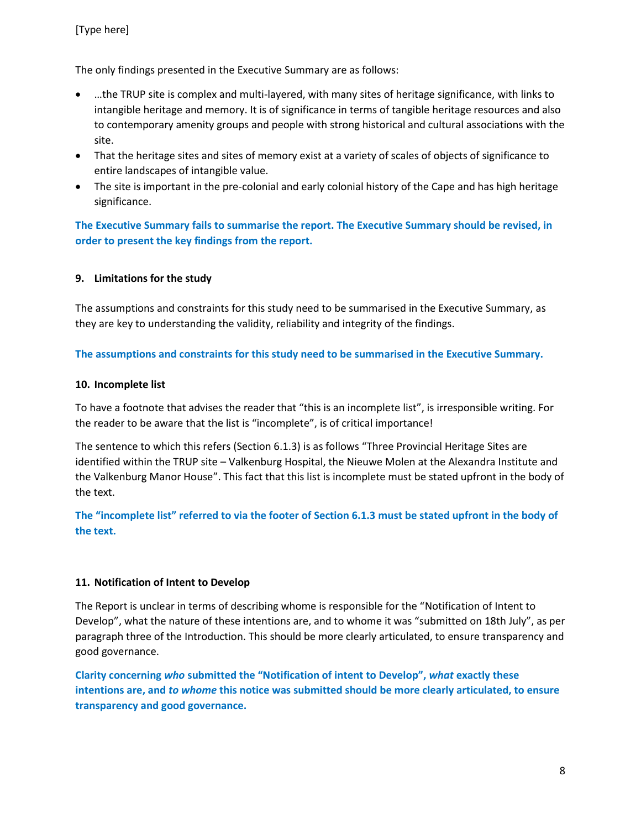The only findings presented in the Executive Summary are as follows:

- …the TRUP site is complex and multi-layered, with many sites of heritage significance, with links to intangible heritage and memory. It is of significance in terms of tangible heritage resources and also to contemporary amenity groups and people with strong historical and cultural associations with the site.
- That the heritage sites and sites of memory exist at a variety of scales of objects of significance to entire landscapes of intangible value.
- The site is important in the pre-colonial and early colonial history of the Cape and has high heritage significance.

**The Executive Summary fails to summarise the report. The Executive Summary should be revised, in order to present the key findings from the report.**

#### **9. Limitations for the study**

The assumptions and constraints for this study need to be summarised in the Executive Summary, as they are key to understanding the validity, reliability and integrity of the findings.

**The assumptions and constraints for this study need to be summarised in the Executive Summary.** 

#### **10. Incomplete list**

To have a footnote that advises the reader that "this is an incomplete list", is irresponsible writing. For the reader to be aware that the list is "incomplete", is of critical importance!

The sentence to which this refers (Section 6.1.3) is as follows "Three Provincial Heritage Sites are identified within the TRUP site – Valkenburg Hospital, the Nieuwe Molen at the Alexandra Institute and the Valkenburg Manor House". This fact that this list is incomplete must be stated upfront in the body of the text.

**The "incomplete list" referred to via the footer of Section 6.1.3 must be stated upfront in the body of the text.**

#### **11. Notification of Intent to Develop**

The Report is unclear in terms of describing whome is responsible for the "Notification of Intent to Develop", what the nature of these intentions are, and to whome it was "submitted on 18th July", as per paragraph three of the Introduction. This should be more clearly articulated, to ensure transparency and good governance.

**Clarity concerning** *who* **submitted the "Notification of intent to Develop",** *what* **exactly these intentions are, and** *to whome* **this notice was submitted should be more clearly articulated, to ensure transparency and good governance.**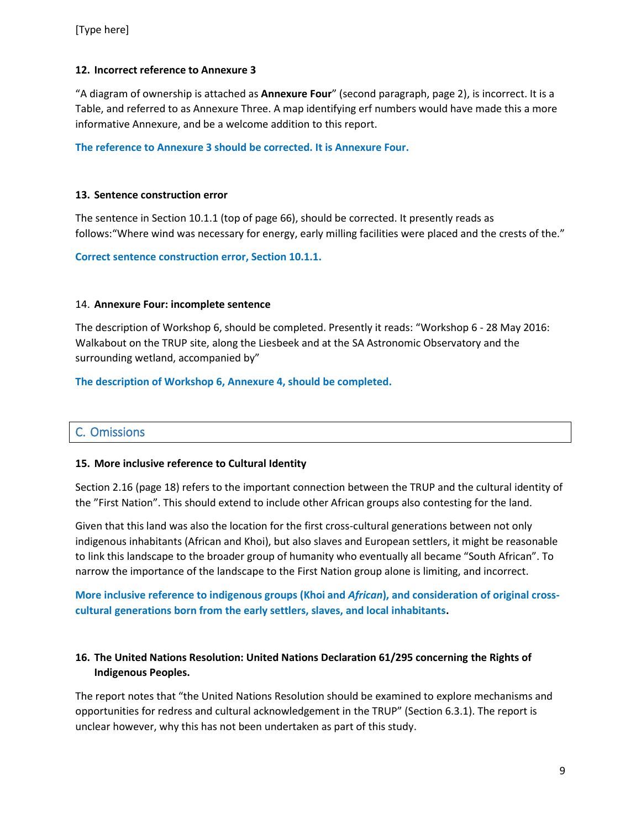### **12. Incorrect reference to Annexure 3**

"A diagram of ownership is attached as **Annexure Four**" (second paragraph, page 2), is incorrect. It is a Table, and referred to as Annexure Three. A map identifying erf numbers would have made this a more informative Annexure, and be a welcome addition to this report.

**The reference to Annexure 3 should be corrected. It is Annexure Four.**

#### **13. Sentence construction error**

The sentence in Section 10.1.1 (top of page 66), should be corrected. It presently reads as follows:"Where wind was necessary for energy, early milling facilities were placed and the crests of the."

**Correct sentence construction error, Section 10.1.1.**

#### 14. **Annexure Four: incomplete sentence**

The description of Workshop 6, should be completed. Presently it reads: "Workshop 6 - 28 May 2016: Walkabout on the TRUP site, along the Liesbeek and at the SA Astronomic Observatory and the surrounding wetland, accompanied by"

**The description of Workshop 6, Annexure 4, should be completed.**

# C. Omissions

#### **15. More inclusive reference to Cultural Identity**

Section 2.16 (page 18) refers to the important connection between the TRUP and the cultural identity of the "First Nation". This should extend to include other African groups also contesting for the land.

Given that this land was also the location for the first cross-cultural generations between not only indigenous inhabitants (African and Khoi), but also slaves and European settlers, it might be reasonable to link this landscape to the broader group of humanity who eventually all became "South African". To narrow the importance of the landscape to the First Nation group alone is limiting, and incorrect.

**More inclusive reference to indigenous groups (Khoi and** *African***), and consideration of original crosscultural generations born from the early settlers, slaves, and local inhabitants.**

# **16. The United Nations Resolution: United Nations Declaration 61/295 concerning the Rights of Indigenous Peoples.**

The report notes that "the United Nations Resolution should be examined to explore mechanisms and opportunities for redress and cultural acknowledgement in the TRUP" (Section 6.3.1). The report is unclear however, why this has not been undertaken as part of this study.